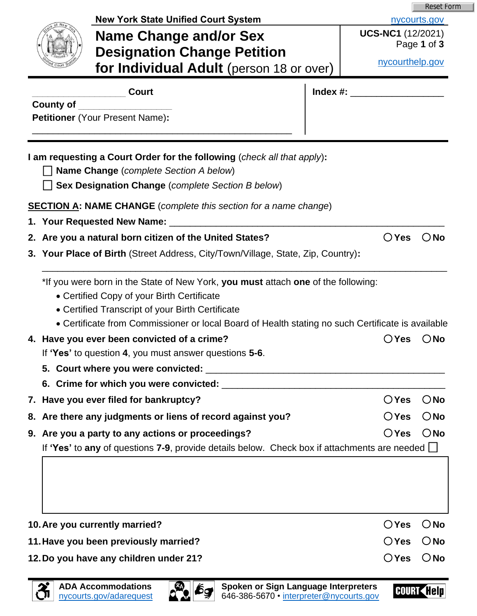|                  |                                                                                                                                                                                                                                                                                                                                         |                          | <b>Reset Form</b> |
|------------------|-----------------------------------------------------------------------------------------------------------------------------------------------------------------------------------------------------------------------------------------------------------------------------------------------------------------------------------------|--------------------------|-------------------|
|                  | <b>New York State Unified Court System</b>                                                                                                                                                                                                                                                                                              |                          | nycourts.gov      |
|                  | Name Change and/or Sex                                                                                                                                                                                                                                                                                                                  | <b>UCS-NC1</b> (12/2021) | Page 1 of 3       |
|                  | <b>Designation Change Petition</b>                                                                                                                                                                                                                                                                                                      | nycourthelp.gov          |                   |
|                  | for Individual Adult (person 18 or over)                                                                                                                                                                                                                                                                                                |                          |                   |
|                  | <b>Court</b>                                                                                                                                                                                                                                                                                                                            |                          |                   |
| <b>County of</b> |                                                                                                                                                                                                                                                                                                                                         |                          |                   |
|                  | <b>Petitioner</b> (Your Present Name):                                                                                                                                                                                                                                                                                                  |                          |                   |
|                  | I am requesting a Court Order for the following (check all that apply):<br><b>Name Change</b> (complete Section A below)<br>Sex Designation Change (complete Section B below)<br><b>SECTION A: NAME CHANGE</b> (complete this section for a name change)                                                                                |                          |                   |
|                  | 1. Your Requested New Name: 1. 1996                                                                                                                                                                                                                                                                                                     |                          |                   |
|                  | 2. Are you a natural born citizen of the United States?                                                                                                                                                                                                                                                                                 | $\bigcirc$ Yes           | $\bigcirc$ No     |
|                  | 3. Your Place of Birth (Street Address, City/Town/Village, State, Zip, Country):                                                                                                                                                                                                                                                        |                          |                   |
|                  | *If you were born in the State of New York, you must attach one of the following:<br>• Certified Copy of your Birth Certificate<br>• Certified Transcript of your Birth Certificate<br>• Certificate from Commissioner or local Board of Health stating no such Certificate is available<br>4. Have you ever been convicted of a crime? | $\bigcirc$ Yes           | $\bigcirc$ No     |
|                  | If 'Yes' to question 4, you must answer questions 5-6.                                                                                                                                                                                                                                                                                  |                          |                   |
|                  |                                                                                                                                                                                                                                                                                                                                         |                          |                   |
|                  |                                                                                                                                                                                                                                                                                                                                         |                          |                   |
|                  | 7. Have you ever filed for bankruptcy?                                                                                                                                                                                                                                                                                                  | $\bigcirc$ Yes           | $\bigcirc$ No     |
|                  | 8. Are there any judgments or liens of record against you?                                                                                                                                                                                                                                                                              | $\bigcirc$ Yes           | $\bigcirc$ No     |
|                  | 9. Are you a party to any actions or proceedings?                                                                                                                                                                                                                                                                                       | $\bigcirc$ Yes           | $\bigcirc$ No     |
|                  | If 'Yes' to any of questions 7-9, provide details below. Check box if attachments are needed $\Box$                                                                                                                                                                                                                                     |                          |                   |
|                  |                                                                                                                                                                                                                                                                                                                                         |                          |                   |
|                  |                                                                                                                                                                                                                                                                                                                                         |                          |                   |
|                  | 10. Are you currently married?                                                                                                                                                                                                                                                                                                          | $\bigcirc$ Yes           | $\bigcirc$ No     |
|                  | 11. Have you been previously married?                                                                                                                                                                                                                                                                                                   | $\bigcirc$ Yes           | $\bigcirc$ No     |



COURT (<mark>[el</mark>p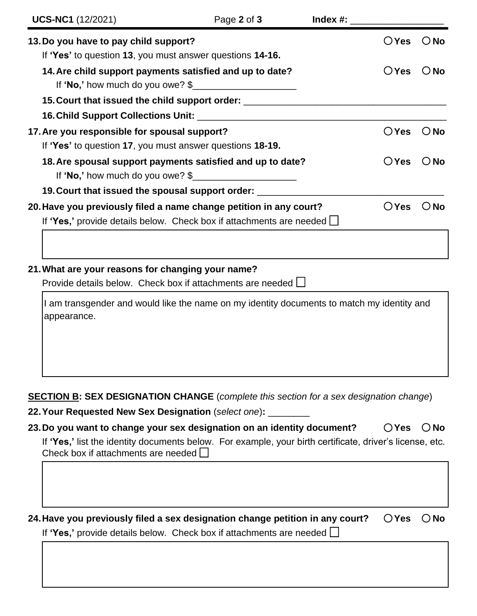| <b>UCS-NC1</b> (12/2021)                                                                                                                          | Page 2 of 3 | $Index \#$ : |                |               |
|---------------------------------------------------------------------------------------------------------------------------------------------------|-------------|--------------|----------------|---------------|
| 13. Do you have to pay child support?<br>If 'Yes' to question 13, you must answer questions 14-16.                                                |             |              | $\bigcirc$ Yes | $\bigcirc$ No |
| 14. Are child support payments satisfied and up to date?<br>If 'No,' how much do you owe? $\frac{1}{2}$                                           |             |              | $\bigcirc$ Yes | $\bigcirc$ No |
| 15. Court that issued the child support order: _________________________________                                                                  |             |              |                |               |
|                                                                                                                                                   |             |              |                |               |
| 17. Are you responsible for spousal support?<br>If 'Yes' to question 17, you must answer questions 18-19.                                         |             |              | ○Yes           | $\bigcirc$ No |
| 18. Are spousal support payments satisfied and up to date?<br>If 'No,' how much do you owe? $\frac{1}{2}$                                         |             |              | $\bigcirc$ Yes | $\bigcirc$ No |
| 19. Court that issued the spousal support order: _______                                                                                          |             |              |                |               |
| 20. Have you previously filed a name change petition in any court?<br>If 'Yes,' provide details below. Check box if attachments are needed $\Box$ |             |              | $\bigcirc$ Yes | () No         |
|                                                                                                                                                   |             |              |                |               |

### **21.What are your reasons for changing your name?**

Provide details below. Check box if attachments are needed  $\Box$ 

I am transgender and would like the name on my identity documents to match my identity and appearance.

### **SECTION B: SEX DESIGNATION CHANGE** (*complete this section for a sex designation change*)

**22.Your Requested New Sex Designation** (*select one*)**:** \_\_\_\_\_\_\_\_

| 23. Do you want to change your sex designation on an identity document?                                                                                | $OYes$ $ONo$ |  |
|--------------------------------------------------------------------------------------------------------------------------------------------------------|--------------|--|
| If 'Yes,' list the identity documents below. For example, your birth certificate, driver's license, etc.<br>Check box if attachments are needed $\Box$ |              |  |
|                                                                                                                                                        |              |  |

**24.Have you previously filed a sex designation change petition in any court? Yes No**

If **'Yes,'** provide details below. Check box if attachments are needed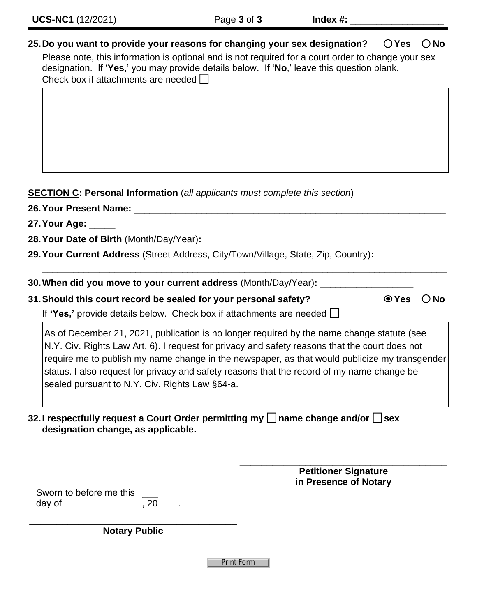## **25.Do you want to provide your reasons for changing your sex designation? Yes No**

Please note, this information is optional and is not required for a court order to change your sex designation. If '**Yes**,' you may provide details below. If '**No**,' leave this question blank. Check box if attachments are needed  $\square$ 

# **SECTION C: Personal Information** (*all applicants must complete this section*)

| 26. Your Present Name: _______                                                                                                                                                                                                                                                                                                                                                                                                                |  |               |  |  |  |  |
|-----------------------------------------------------------------------------------------------------------------------------------------------------------------------------------------------------------------------------------------------------------------------------------------------------------------------------------------------------------------------------------------------------------------------------------------------|--|---------------|--|--|--|--|
|                                                                                                                                                                                                                                                                                                                                                                                                                                               |  |               |  |  |  |  |
|                                                                                                                                                                                                                                                                                                                                                                                                                                               |  |               |  |  |  |  |
| 30. When did you move to your current address (Month/Day/Year): ______                                                                                                                                                                                                                                                                                                                                                                        |  |               |  |  |  |  |
| 31. Should this court record be sealed for your personal safety?<br>$\odot$ Yes<br>If 'Yes,' provide details below. Check box if attachments are needed $\Box$                                                                                                                                                                                                                                                                                |  | $\bigcirc$ No |  |  |  |  |
| As of December 21, 2021, publication is no longer required by the name change statute (see<br>N.Y. Civ. Rights Law Art. 6). I request for privacy and safety reasons that the court does not<br>require me to publish my name change in the newspaper, as that would publicize my transgender<br>status. I also request for privacy and safety reasons that the record of my name change be<br>sealed pursuant to N.Y. Civ. Rights Law §64-a. |  |               |  |  |  |  |
| 32. I respectfully request a Court Order permitting my I name change and/or Sex<br>designation change, as applicable.                                                                                                                                                                                                                                                                                                                         |  |               |  |  |  |  |

\_\_\_\_\_\_\_\_\_\_\_\_\_\_\_\_\_\_\_\_\_\_\_\_\_\_\_\_\_\_\_\_\_\_\_\_\_\_ **Petitioner Signature in Presence of Notary**

Sworn to before me this day of the contract of the contract of the contract of the contract of the contract of the contract of the contract of the contract of the contract of the contract of the contract of the contract of the contract of the con

\_\_\_\_\_\_\_\_\_\_\_\_\_\_\_\_\_\_\_\_\_\_\_\_\_\_\_\_\_\_\_\_\_\_\_\_\_\_ **Notary Public**

Print Form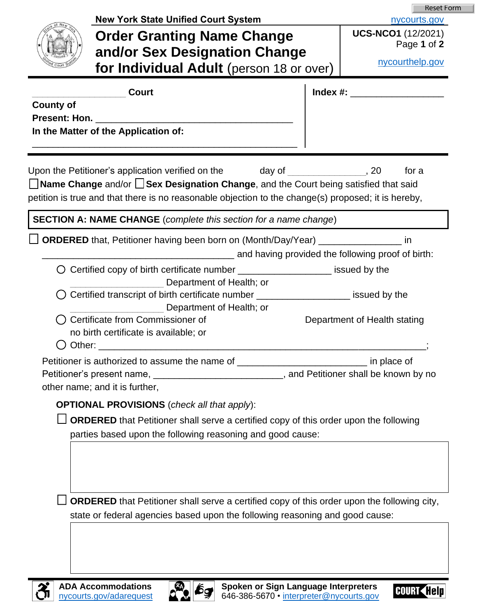|                  |                                                                                                                                                                                                                                                              | <b>Reset Form</b>                                 |
|------------------|--------------------------------------------------------------------------------------------------------------------------------------------------------------------------------------------------------------------------------------------------------------|---------------------------------------------------|
|                  | <b>New York State Unified Court System</b>                                                                                                                                                                                                                   | nycourts.gov                                      |
|                  | <b>Order Granting Name Change</b>                                                                                                                                                                                                                            | <b>UCS-NCO1</b> (12/2021)<br>Page 1 of 2          |
|                  | and/or Sex Designation Change                                                                                                                                                                                                                                |                                                   |
|                  | for Individual Adult (person 18 or over)                                                                                                                                                                                                                     | nycourthelp.gov                                   |
|                  | <b>Court</b>                                                                                                                                                                                                                                                 | Index #: ______________________                   |
| <b>County of</b> |                                                                                                                                                                                                                                                              |                                                   |
|                  |                                                                                                                                                                                                                                                              |                                                   |
|                  | In the Matter of the Application of:                                                                                                                                                                                                                         |                                                   |
|                  | Upon the Petitioner's application verified on the<br>day of<br>□ Name Change and/or □ Sex Designation Change, and the Court being satisfied that said<br>petition is true and that there is no reasonable objection to the change(s) proposed; it is hereby, | , 20<br>for a                                     |
|                  | <b>SECTION A: NAME CHANGE</b> (complete this section for a name change)                                                                                                                                                                                      |                                                   |
|                  | <b>ORDERED</b> that, Petitioner having been born on (Month/Day/Year) ________________ in                                                                                                                                                                     | and having provided the following proof of birth: |
|                  | $\bigcirc$ Certified copy of birth certificate number $\frac{1}{\frac{1}{2}}$ issued by the                                                                                                                                                                  |                                                   |
|                  | Department of Health; or                                                                                                                                                                                                                                     |                                                   |
|                  | Certified transcript of birth certificate number ______________________ issued by the<br>Department of Health; or                                                                                                                                            |                                                   |
|                  | Certificate from Commissioner of                                                                                                                                                                                                                             | Department of Health stating                      |
| Other:           | no birth certificate is available; or                                                                                                                                                                                                                        |                                                   |
|                  |                                                                                                                                                                                                                                                              | in place of                                       |
|                  | Petitioner is authorized to assume the name of _________________________________<br>Petitioner's present name, _____________________________, and Petitioner shall be known by no                                                                            |                                                   |
|                  | other name; and it is further,                                                                                                                                                                                                                               |                                                   |
|                  | <b>OPTIONAL PROVISIONS</b> (check all that apply):                                                                                                                                                                                                           |                                                   |
|                  | <b>ORDERED</b> that Petitioner shall serve a certified copy of this order upon the following                                                                                                                                                                 |                                                   |
|                  | parties based upon the following reasoning and good cause:                                                                                                                                                                                                   |                                                   |
|                  | <b>ORDERED</b> that Petitioner shall serve a certified copy of this order upon the following city,<br>state or federal agencies based upon the following reasoning and good cause:                                                                           |                                                   |
|                  |                                                                                                                                                                                                                                                              |                                                   |



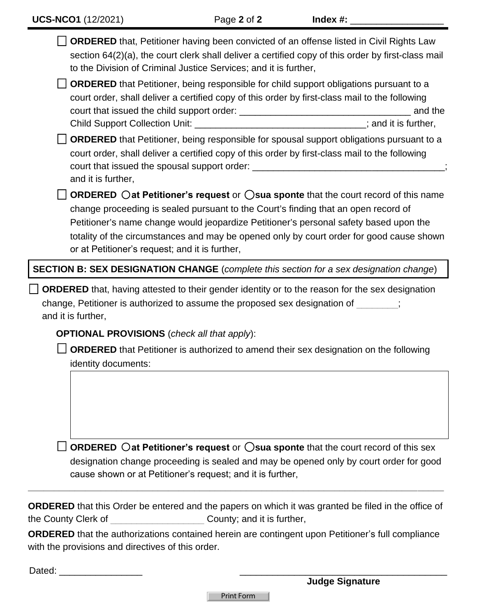| <b>ORDERED</b> that, Petitioner having been convicted of an offense listed in Civil Rights Law<br>section 64(2)(a), the court clerk shall deliver a certified copy of this order by first-class mail<br>to the Division of Criminal Justice Services; and it is further,<br><b>ORDERED</b> that Petitioner, being responsible for child support obligations pursuant to a<br>court order, shall deliver a certified copy of this order by first-class mail to the following | and the |
|-----------------------------------------------------------------------------------------------------------------------------------------------------------------------------------------------------------------------------------------------------------------------------------------------------------------------------------------------------------------------------------------------------------------------------------------------------------------------------|---------|
| Child Support Collection Unit: _________________________________; and it is further,                                                                                                                                                                                                                                                                                                                                                                                        |         |
| <b>ORDERED</b> that Petitioner, being responsible for spousal support obligations pursuant to a<br>court order, shall deliver a certified copy of this order by first-class mail to the following<br>court that issued the spousal support order: ___________________________________<br>and it is further,                                                                                                                                                                 |         |
| ORDERED $\bigcirc$ at Petitioner's request or $\bigcirc$ sua sponte that the court record of this name<br>change proceeding is sealed pursuant to the Court's finding that an open record of<br>Petitioner's name change would jeopardize Petitioner's personal safety based upon the<br>totality of the circumstances and may be opened only by court order for good cause shown<br>or at Petitioner's request; and it is further,                                         |         |
| SECTION B: SEX DESIGNATION CHANGE (complete this section for a sex designation change)                                                                                                                                                                                                                                                                                                                                                                                      |         |
|                                                                                                                                                                                                                                                                                                                                                                                                                                                                             |         |
| <b>ORDERED</b> that, having attested to their gender identity or to the reason for the sex designation<br>change, Petitioner is authorized to assume the proposed sex designation of<br>and it is further,                                                                                                                                                                                                                                                                  |         |
| <b>OPTIONAL PROVISIONS</b> (check all that apply):                                                                                                                                                                                                                                                                                                                                                                                                                          |         |
| <b>ORDERED</b> that Petitioner is authorized to amend their sex designation on the following<br>identity documents:                                                                                                                                                                                                                                                                                                                                                         |         |
|                                                                                                                                                                                                                                                                                                                                                                                                                                                                             |         |
| <b>ORDERED</b> $\bigcirc$ at Petitioner's request or $\bigcirc$ sua sponte that the court record of this sex<br>designation change proceeding is sealed and may be opened only by court order for good                                                                                                                                                                                                                                                                      |         |

**ORDERED** that this Order be entered and the papers on which it was granted be filed in the office of the County Clerk of The County; and it is further,

**ORDERED** that the authorizations contained herein are contingent upon Petitioner's full compliance with the provisions and directives of this order.

| $\overline{\phantom{0}}$<br>$\sim$ |  |
|------------------------------------|--|
|                                    |  |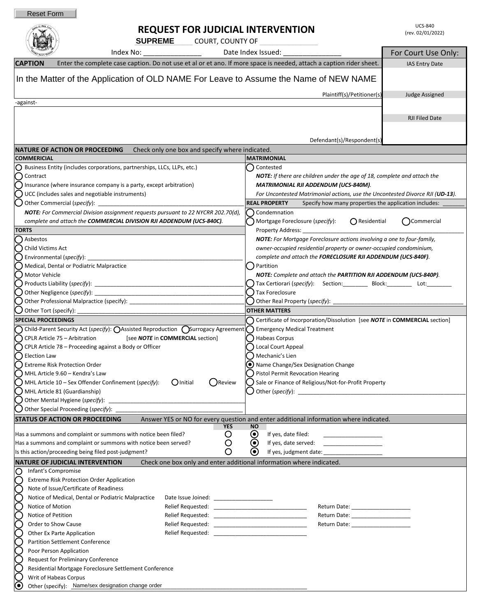$0!$  New  $y$ 

## **REQUEST FOR JUDICIAL INTERVENTION**

|                       |                                                      | <b>SUPREME</b> COURT, COUNTY OF                                                                                                                                                                                          |                                                                                             |                       |
|-----------------------|------------------------------------------------------|--------------------------------------------------------------------------------------------------------------------------------------------------------------------------------------------------------------------------|---------------------------------------------------------------------------------------------|-----------------------|
|                       | Index No: ____________________<br>Date Index Issued: |                                                                                                                                                                                                                          |                                                                                             | For Court Use Only:   |
|                       | <b>CAPTION</b>                                       | Enter the complete case caption. Do not use et al or et ano. If more space is needed, attach a caption rider sheet.                                                                                                      |                                                                                             | IAS Entry Date        |
|                       |                                                      |                                                                                                                                                                                                                          |                                                                                             |                       |
|                       |                                                      | In the Matter of the Application of OLD NAME For Leave to Assume the Name of NEW NAME                                                                                                                                    |                                                                                             |                       |
|                       |                                                      |                                                                                                                                                                                                                          | Plaintiff(s)/Petitioner(s)                                                                  | <b>Judge Assigned</b> |
| -against-             |                                                      |                                                                                                                                                                                                                          |                                                                                             |                       |
|                       |                                                      |                                                                                                                                                                                                                          |                                                                                             |                       |
|                       |                                                      |                                                                                                                                                                                                                          |                                                                                             | <b>RJI Filed Date</b> |
|                       |                                                      |                                                                                                                                                                                                                          |                                                                                             |                       |
|                       |                                                      |                                                                                                                                                                                                                          | Defendant(s)/Respondent(s)                                                                  |                       |
|                       | <b>COMMERICIAL</b>                                   | <b>NATURE OF ACTION OR PROCEEDING</b><br>Check only one box and specify where indicated.                                                                                                                                 | <b>MATRIMONIAL</b>                                                                          |                       |
|                       |                                                      | $\bigcirc$ Business Entity (includes corporations, partnerships, LLCs, LLPs, etc.)                                                                                                                                       | Contested                                                                                   |                       |
|                       | (C) Contract                                         |                                                                                                                                                                                                                          | <b>NOTE:</b> If there are children under the age of 18, complete and attach the             |                       |
|                       |                                                      | Insurance (where insurance company is a party, except arbitration)                                                                                                                                                       | <b>MATRIMONIAL RJI ADDENDUM (UCS-840M).</b>                                                 |                       |
|                       |                                                      | UCC (includes sales and negotiable instruments)                                                                                                                                                                          | For Uncontested Matrimonial actions, use the Uncontested Divorce RJI (UD-13).               |                       |
|                       |                                                      |                                                                                                                                                                                                                          | <b>REAL PROPERTY</b><br>Specify how many properties the application includes: _             |                       |
|                       |                                                      | NOTE: For Commercial Division assignment requests pursuant to 22 NYCRR 202.70(d),                                                                                                                                        | Condemnation                                                                                |                       |
|                       |                                                      | complete and attach the COMMERCIAL DIVISION RJI ADDENDUM (UCS-840C).                                                                                                                                                     | $\bigcap$ Residential<br>Mortgage Foreclosure (specify):                                    | ()Commercial          |
| <b>TORTS</b>          |                                                      |                                                                                                                                                                                                                          | Property Address:<br>NOTE: For Mortgage Foreclosure actions involving a one to four-family, |                       |
|                       | () Asbestos<br>() Child Victims Act                  |                                                                                                                                                                                                                          | owner-occupied residential property or owner-occupied condominium,                          |                       |
|                       |                                                      |                                                                                                                                                                                                                          | complete and attach the FORECLOSURE RJI ADDENDUM (UCS-840F).                                |                       |
|                       |                                                      | () Medical, Dental or Podiatric Malpractice                                                                                                                                                                              | Partition                                                                                   |                       |
|                       | ( ) Motor Vehicle                                    |                                                                                                                                                                                                                          | NOTE: Complete and attach the PARTITION RJI ADDENDUM (UCS-840P).                            |                       |
|                       |                                                      |                                                                                                                                                                                                                          | Tax Certiorari (specify): Section: _________ Block: ________ Lot: ________                  |                       |
|                       |                                                      | Other Negligence (specify):                                                                                                                                                                                              | Tax Foreclosure                                                                             |                       |
|                       |                                                      | Other Professional Malpractice (specify): 2000 2012 2022 2023                                                                                                                                                            | Other Real Property (specify): ______                                                       |                       |
|                       | Other Tort (specify):                                |                                                                                                                                                                                                                          | <b>OTHER MATTERS</b>                                                                        |                       |
|                       | <b>SPECIAL PROCEEDINGS</b>                           |                                                                                                                                                                                                                          | Certificate of Incorporation/Dissolution [see NOTE in COMMERCIAL section]                   |                       |
|                       |                                                      | $\bigcap$ Child-Parent Security Act (specify): $\bigcirc$ Assisted Reproduction ( Surrogacy Agreement ( ) Emergency Medical Treatment<br>CPLR Article 75 - Arbitration<br>[see <b>NOTE</b> in <b>COMMERCIAL</b> section] | () Habeas Corpus                                                                            |                       |
|                       |                                                      | CPLR Article 78 - Proceeding against a Body or Officer                                                                                                                                                                   | J Local Court Appeal                                                                        |                       |
|                       | ◯ Election Law                                       |                                                                                                                                                                                                                          | ) Mechanic's Lien                                                                           |                       |
|                       |                                                      | Extreme Risk Protection Order                                                                                                                                                                                            | (•) Name Change/Sex Designation Change                                                      |                       |
|                       |                                                      | $\bigcap$ MHL Article 9.60 – Kendra's Law                                                                                                                                                                                | <b>Pistol Permit Revocation Hearing</b>                                                     |                       |
|                       |                                                      | $\bigcirc$ MHL Article 10 – Sex Offender Confinement (specify): $\bigcirc$ Initial<br>( ) Review                                                                                                                         | Sale or Finance of Religious/Not-for-Profit Property                                        |                       |
|                       |                                                      | () MHL Article 81 (Guardianship)                                                                                                                                                                                         |                                                                                             |                       |
|                       |                                                      |                                                                                                                                                                                                                          |                                                                                             |                       |
|                       |                                                      | Other Special Proceeding (specify): ___                                                                                                                                                                                  |                                                                                             |                       |
|                       |                                                      | <b>STATUS OF ACTION OR PROCEEDING</b><br><b>YES</b><br><b>NO</b>                                                                                                                                                         | Answer YES or NO for every question and enter additional information where indicated.       |                       |
|                       |                                                      | $\boldsymbol{\Theta}$<br>Has a summons and complaint or summons with notice been filed?<br>O                                                                                                                             | If yes, date filed:                                                                         |                       |
|                       |                                                      | $\left( \bullet \right)$<br>Has a summons and complaint or summons with notice been served?<br>Ő                                                                                                                         | If yes, date served:<br>the company of the company of the                                   |                       |
|                       |                                                      | O<br>Is this action/proceeding being filed post-judgment?<br>$\left( \bullet \right)$                                                                                                                                    | If yes, judgment date: ______                                                               |                       |
|                       |                                                      | Check one box only and enter additional information where indicated.<br><b>NATURE OF JUDICIAL INTERVENTION</b>                                                                                                           |                                                                                             |                       |
| O                     | Infant's Compromise                                  |                                                                                                                                                                                                                          |                                                                                             |                       |
|                       |                                                      | <b>Extreme Risk Protection Order Application</b>                                                                                                                                                                         |                                                                                             |                       |
|                       |                                                      | Note of Issue/Certificate of Readiness<br>Notice of Medical, Dental or Podiatric Malpractice<br>Date Issue Joined: _______________________                                                                               |                                                                                             |                       |
|                       | Notice of Motion                                     |                                                                                                                                                                                                                          | Return Date: _____________________                                                          |                       |
|                       | Notice of Petition                                   |                                                                                                                                                                                                                          | Return Date: _____________________                                                          |                       |
|                       |                                                      | Order to Show Cause                                                                                                                                                                                                      |                                                                                             |                       |
|                       |                                                      | Other Ex Parte Application<br>Relief Requested:                                                                                                                                                                          |                                                                                             |                       |
|                       |                                                      | <b>Partition Settlement Conference</b>                                                                                                                                                                                   |                                                                                             |                       |
|                       |                                                      | Poor Person Application                                                                                                                                                                                                  |                                                                                             |                       |
|                       |                                                      | <b>Request for Preliminary Conference</b>                                                                                                                                                                                |                                                                                             |                       |
|                       |                                                      | Residential Mortgage Foreclosure Settlement Conference                                                                                                                                                                   |                                                                                             |                       |
| $\boldsymbol{\Theta}$ |                                                      | Writ of Habeas Corpus<br>Other (specify): Name/sex designation change order                                                                                                                                              |                                                                                             |                       |
|                       |                                                      |                                                                                                                                                                                                                          |                                                                                             |                       |